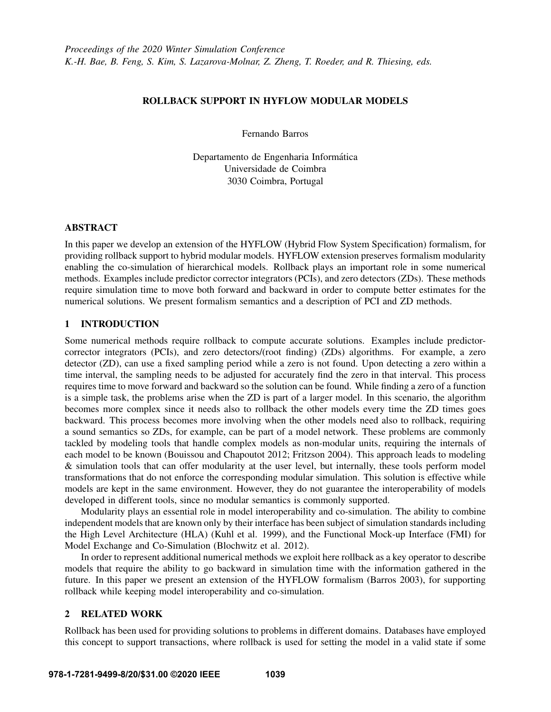## ROLLBACK SUPPORT IN HYFLOW MODULAR MODELS

Fernando Barros

Departamento de Engenharia Informática Universidade de Coimbra 3030 Coimbra, Portugal

## ABSTRACT

In this paper we develop an extension of the HYFLOW (Hybrid Flow System Specification) formalism, for providing rollback support to hybrid modular models. HYFLOW extension preserves formalism modularity enabling the co-simulation of hierarchical models. Rollback plays an important role in some numerical methods. Examples include predictor corrector integrators (PCIs), and zero detectors (ZDs). These methods require simulation time to move both forward and backward in order to compute better estimates for the numerical solutions. We present formalism semantics and a description of PCI and ZD methods.

## 1 INTRODUCTION

Some numerical methods require rollback to compute accurate solutions. Examples include predictorcorrector integrators (PCIs), and zero detectors/(root finding) (ZDs) algorithms. For example, a zero detector (ZD), can use a fixed sampling period while a zero is not found. Upon detecting a zero within a time interval, the sampling needs to be adjusted for accurately find the zero in that interval. This process requires time to move forward and backward so the solution can be found. While finding a zero of a function is a simple task, the problems arise when the ZD is part of a larger model. In this scenario, the algorithm becomes more complex since it needs also to rollback the other models every time the ZD times goes backward. This process becomes more involving when the other models need also to rollback, requiring a sound semantics so ZDs, for example, can be part of a model network. These problems are commonly tackled by modeling tools that handle complex models as non-modular units, requiring the internals of each model to be known [\(Bouissou and Chapoutot 2012;](#page-11-0) [Fritzson 2004\)](#page-11-1). This approach leads to modeling & simulation tools that can offer modularity at the user level, but internally, these tools perform model transformations that do not enforce the corresponding modular simulation. This solution is effective while models are kept in the same environment. However, they do not guarantee the interoperability of models developed in different tools, since no modular semantics is commonly supported.

Modularity plays an essential role in model interoperability and co-simulation. The ability to combine independent models that are known only by their interface has been subject of simulation standards including the High Level Architecture (HLA) [\(Kuhl et al. 1999\)](#page-11-2), and the Functional Mock-up Interface (FMI) for Model Exchange and Co-Simulation [\(Blochwitz et al. 2012\)](#page-11-3).

In order to represent additional numerical methods we exploit here rollback as a key operator to describe models that require the ability to go backward in simulation time with the information gathered in the future. In this paper we present an extension of the HYFLOW formalism [\(Barros 2003\)](#page-11-4), for supporting rollback while keeping model interoperability and co-simulation.

# 2 RELATED WORK

Rollback has been used for providing solutions to problems in different domains. Databases have employed this concept to support transactions, where rollback is used for setting the model in a valid state if some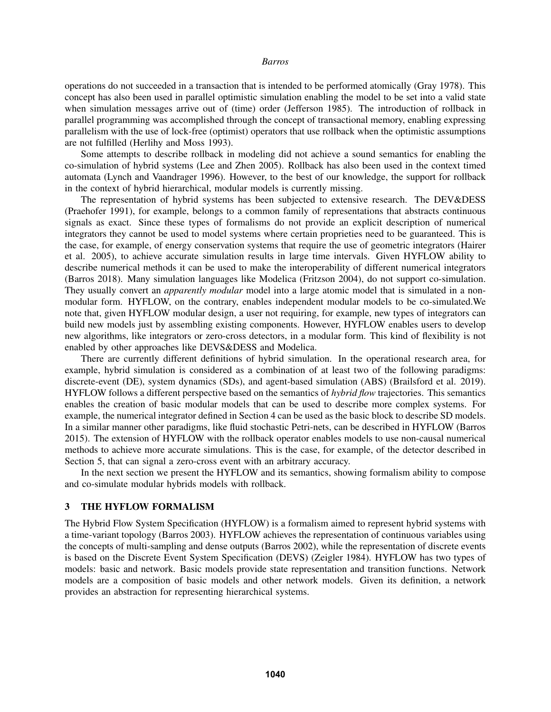operations do not succeeded in a transaction that is intended to be performed atomically [\(Gray 1978\)](#page-11-5). This concept has also been used in parallel optimistic simulation enabling the model to be set into a valid state when simulation messages arrive out of (time) order [\(Jefferson 1985\)](#page-11-6). The introduction of rollback in parallel programming was accomplished through the concept of transactional memory, enabling expressing parallelism with the use of lock-free (optimist) operators that use rollback when the optimistic assumptions are not fulfilled [\(Herlihy and Moss 1993\)](#page-11-7).

Some attempts to describe rollback in modeling did not achieve a sound semantics for enabling the co-simulation of hybrid systems [\(Lee and Zhen 2005\)](#page-11-8). Rollback has also been used in the context timed automata [\(Lynch and Vaandrager 1996\)](#page-11-9). However, to the best of our knowledge, the support for rollback in the context of hybrid hierarchical, modular models is currently missing.

The representation of hybrid systems has been subjected to extensive research. The DEV&DESS [\(Praehofer 1991\)](#page-11-10), for example, belongs to a common family of representations that abstracts continuous signals as exact. Since these types of formalisms do not provide an explicit description of numerical integrators they cannot be used to model systems where certain proprieties need to be guaranteed. This is the case, for example, of energy conservation systems that require the use of geometric integrators [\(Hairer](#page-11-11) [et al. 2005\)](#page-11-11), to achieve accurate simulation results in large time intervals. Given HYFLOW ability to describe numerical methods it can be used to make the interoperability of different numerical integrators [\(Barros 2018\)](#page-11-12). Many simulation languages like Modelica [\(Fritzson 2004\)](#page-11-1), do not support co-simulation. They usually convert an *apparently modular* model into a large atomic model that is simulated in a nonmodular form. HYFLOW, on the contrary, enables independent modular models to be co-simulated.We note that, given HYFLOW modular design, a user not requiring, for example, new types of integrators can build new models just by assembling existing components. However, HYFLOW enables users to develop new algorithms, like integrators or zero-cross detectors, in a modular form. This kind of flexibility is not enabled by other approaches like DEVS&DESS and Modelica.

There are currently different definitions of hybrid simulation. In the operational research area, for example, hybrid simulation is considered as a combination of at least two of the following paradigms: discrete-event (DE), system dynamics (SDs), and agent-based simulation (ABS) [\(Brailsford et al. 2019\)](#page-11-13). HYFLOW follows a different perspective based on the semantics of *hybrid flow* trajectories. This semantics enables the creation of basic modular models that can be used to describe more complex systems. For example, the numerical integrator defined in Section [4](#page-7-0) can be used as the basic block to describe SD models. In a similar manner other paradigms, like fluid stochastic Petri-nets, can be described in HYFLOW [\(Barros](#page-11-14) [2015\)](#page-11-14). The extension of HYFLOW with the rollback operator enables models to use non-causal numerical methods to achieve more accurate simulations. This is the case, for example, of the detector described in Section [5,](#page-8-0) that can signal a zero-cross event with an arbitrary accuracy.

In the next section we present the HYFLOW and its semantics, showing formalism ability to compose and co-simulate modular hybrids models with rollback.

## 3 THE HYFLOW FORMALISM

The Hybrid Flow System Specification (HYFLOW) is a formalism aimed to represent hybrid systems with a time-variant topology [\(Barros 2003\)](#page-11-4). HYFLOW achieves the representation of continuous variables using the concepts of multi-sampling and dense outputs [\(Barros 2002\)](#page-11-15), while the representation of discrete events is based on the Discrete Event System Specification (DEVS) [\(Zeigler 1984\)](#page-11-16). HYFLOW has two types of models: basic and network. Basic models provide state representation and transition functions. Network models are a composition of basic models and other network models. Given its definition, a network provides an abstraction for representing hierarchical systems.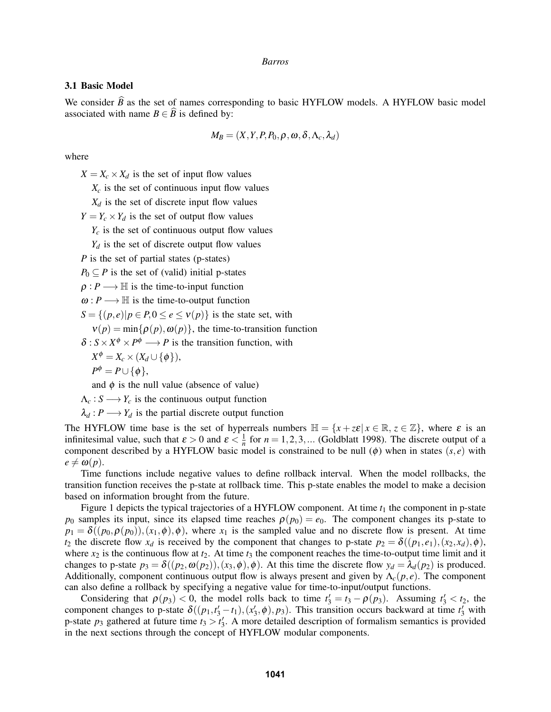## 3.1 Basic Model

We consider *B* as the set of names corresponding to basic HYFLOW models. A HYFLOW basic model associated with name  $B \in \widehat{B}$  is defined by:

$$
M_B = (X, Y, P, P_0, \rho, \omega, \delta, \Lambda_c, \lambda_d)
$$

where

 $X = X_c \times X_d$  is the set of input flow values

 $X_c$  is the set of continuous input flow values

 $X_d$  is the set of discrete input flow values

 $Y = Y_c \times Y_d$  is the set of output flow values

 $Y_c$  is the set of continuous output flow values

 $Y_d$  is the set of discrete output flow values

*P* is the set of partial states (p-states)

 $P_0 \subseteq P$  is the set of (valid) initial p-states

 $\rho: P \longrightarrow \mathbb{H}$  is the time-to-input function

 $\omega: P \longrightarrow \mathbb{H}$  is the time-to-output function

 $S = \{(p, e) | p \in P, 0 \le e \le v(p)\}\$ is the state set, with

 $v(p) = min\{\rho(p), \omega(p)\}\text{, the time-to-transition function}$ 

 $\delta$ :  $S \times X^{\phi} \times P^{\phi} \longrightarrow P$  is the transition function, with

$$
X^{\phi}=X_c\times(X_d\cup\{\phi\}),
$$

$$
P^{\phi}=P\cup\{\phi\},\,
$$

and  $\phi$  is the null value (absence of value)

 $\Lambda_c: S \longrightarrow Y_c$  is the continuous output function

 $\lambda_d$ :  $P \longrightarrow Y_d$  is the partial discrete output function

The HYFLOW time base is the set of hyperreals numbers  $\mathbb{H} = \{x + z \varepsilon | x \in \mathbb{R}, z \in \mathbb{Z}\}$ , where  $\varepsilon$  is an infinitesimal value, such that  $\varepsilon > 0$  and  $\varepsilon < \frac{1}{n}$  for  $n = 1, 2, 3, ...$  [\(Goldblatt 1998\)](#page-11-17). The discrete output of a component described by a HYFLOW basic model is constrained to be null  $(\phi)$  when in states  $(s, e)$  with  $e \neq \omega(p)$ .

Time functions include negative values to define rollback interval. When the model rollbacks, the transition function receives the p-state at rollback time. This p-state enables the model to make a decision based on information brought from the future.

Figure [1](#page-3-0) depicts the typical trajectories of a HYFLOW component. At time  $t_1$  the component in p-state *p*<sub>0</sub> samples its input, since its elapsed time reaches  $\rho(p_0) = e_0$ . The component changes its p-state to  $p_1 = \delta((p_0, \rho(p_0)), (x_1, \phi), \phi)$ , where  $x_1$  is the sampled value and no discrete flow is present. At time *t*<sub>2</sub> the discrete flow  $x_d$  is received by the component that changes to p-state  $p_2 = \delta((p_1, e_1), (x_2, x_d), \phi)$ , where  $x_2$  is the continuous flow at  $t_2$ . At time  $t_3$  the component reaches the time-to-output time limit and it changes to p-state  $p_3 = \delta((p_2, \omega(p_2)), (x_3, \phi), \phi)$ . At this time the discrete flow  $y_d = \lambda_d(p_2)$  is produced. Additionally, component continuous output flow is always present and given by  $\Lambda_c(p,e)$ . The component can also define a rollback by specifying a negative value for time-to-input/output functions.

Considering that  $\rho(p_3) < 0$ , the model rolls back to time  $t'_3 = t_3 - \rho(p_3)$ . Assuming  $t'_3 < t_2$ , the component changes to p-state  $\delta((p_1, t'_3 - t_1), (x'_3, \phi), p_3)$ . This transition occurs backward at time  $t'_3$  with p-state  $p_3$  gathered at future time  $t_3 > t'_3$ . A more detailed description of formalism semantics is provided in the next sections through the concept of HYFLOW modular components.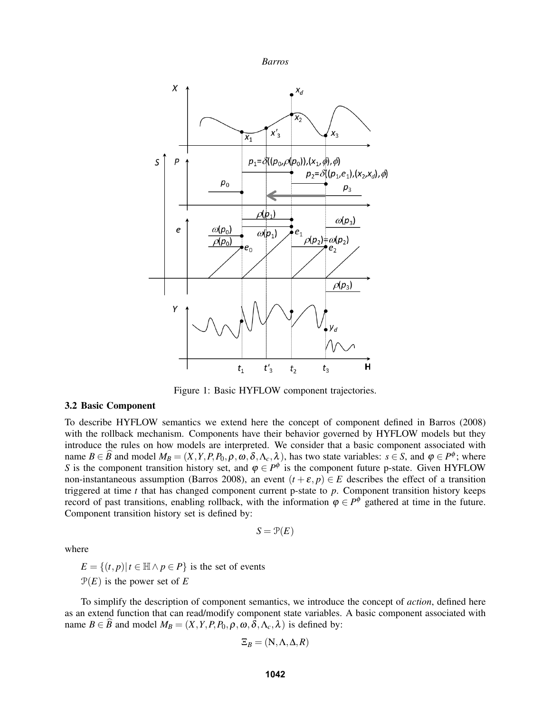

<span id="page-3-0"></span>

Figure 1: Basic HYFLOW component trajectories.

## 3.2 Basic Component

To describe HYFLOW semantics we extend here the concept of component defined in [Barros \(2008\)](#page-11-18) with the rollback mechanism. Components have their behavior governed by HYFLOW models but they introduce the rules on how models are interpreted. We consider that a basic component associated with name  $B \in \hat{B}$  and model  $M_B = (X, Y, P, P_0, \rho, \omega, \delta, \Lambda_c, \lambda)$ , has two state variables:  $s \in S$ , and  $\varphi \in P^{\phi}$ ; where *S* is the component transition history set, and  $\varphi \in P^{\phi}$  is the component future p-state. Given HYFLOW non-instantaneous assumption [\(Barros 2008\)](#page-11-18), an event  $(t + \varepsilon, p) \in E$  describes the effect of a transition triggered at time *t* that has changed component current p-state to *p*. Component transition history keeps record of past transitions, enabling rollback, with the information  $\varphi \in P^{\phi}$  gathered at time in the future. Component transition history set is defined by:

$$
S = \mathcal{P}(E)
$$

where

 $E = \{(t, p) | t \in \mathbb{H} \land p \in P\}$  is the set of events  $\mathcal{P}(E)$  is the power set of E

To simplify the description of component semantics, we introduce the concept of *action*, defined here as an extend function that can read/modify component state variables. A basic component associated with name  $B \in \widehat{B}$  and model  $M_B = (X, Y, P, P_0, \rho, \omega, \delta, \Lambda_c, \lambda)$  is defined by:

$$
\Xi_B = (\mathrm{N}, \Lambda, \Delta, R)
$$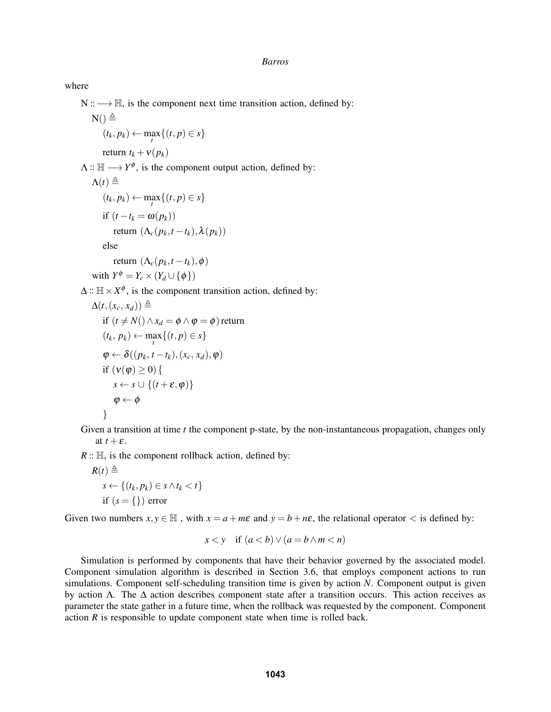## where

N :: → H, is the component next time transition action, defined by:

$$
N() \triangleq
$$
  
 $(t_k, p_k) \leftarrow \max_t \{ (t, p) \in s \}$ 

return  $t_k + v(p_k)$ 

 $\Lambda$  ::  $\mathbb{H} \longrightarrow Y^{\phi}$ , is the component output action, defined by:

$$
\Lambda(t) \triangleq
$$
  
\n
$$
(t_k, p_k) \leftarrow \max_t \{ (t, p) \in s \}
$$
  
\nif  $(t - t_k = \omega(p_k))$   
\nreturn  $(\Lambda_c(p_k, t - t_k), \lambda(p_k))$   
\nelse

$$
\text{return } (\Lambda_c(p_k,t-t_k),\phi)
$$

with 
$$
Y^{\phi} = Y_c \times (Y_d \cup \{\phi\})
$$

 $\Delta$  ::  $\mathbb{H} \times X^{\phi}$ , is the component transition action, defined by:

$$
\Delta(t, (x_c, x_d)) \triangleq
$$
  
if  $(t \neq N() \land x_d = \phi \land \phi = \phi)$  return  
 $(t_k, p_k) \leftarrow \max_{t} \{(t, p) \in s\}$   
 $\phi \leftarrow \delta((p_k, t - t_k), (x_c, x_d), \phi)$   
if  $(v(\phi) \geq 0) \{s \iff s \leftarrow s \cup \{(t + \varepsilon, \phi)\}\}$   
 $\phi \leftarrow \phi$ 

Given a transition at time *t* the component p-state, by the non-instantaneous propagation, changes only at  $t + \varepsilon$ .

 $R: \mathbb{H}$ , is the component rollback action, defined by:

$$
R(t) \triangleq
$$
  
s \leftarrow \{(t\_k, p\_k) \in s \land t\_k < t\}  
if (s = \{\}) error

Given two numbers  $x, y \in \mathbb{H}$ , with  $x = a + m\varepsilon$  and  $y = b + n\varepsilon$ , the relational operator  $\lt$  is defined by:

$$
x < y \quad \text{if } (a < b) \lor (a = b \land m < n)
$$

Simulation is performed by components that have their behavior governed by the associated model. Component simulation algorithm is described in Section [3.6,](#page-7-1) that employs component actions to run simulations. Component self-scheduling transition time is given by action *N*. Component output is given by action  $\Lambda$ . The  $\Delta$  action describes component state after a transition occurs. This action receives as parameter the state gather in a future time, when the rollback was requested by the component. Component action *R* is responsible to update component state when time is rolled back.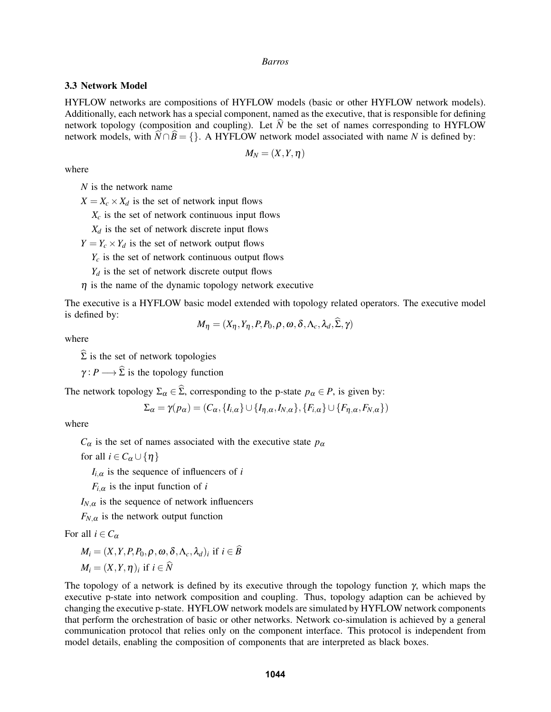## 3.3 Network Model

HYFLOW networks are compositions of HYFLOW models (basic or other HYFLOW network models). Additionally, each network has a special component, named as the executive, that is responsible for defining network topology (composition and coupling). Let  $\hat{N}$  be the set of names corresponding to HYFLOW network models, with  $\hat{N} \cap \hat{B} = \{\}$ . A HYFLOW network model associated with name *N* is defined by:

$$
M_N=(X,Y,\eta)
$$

where

*N* is the network name

 $X = X_c \times X_d$  is the set of network input flows

 $X_c$  is the set of network continuous input flows

 $X_d$  is the set of network discrete input flows

 $Y = Y_c \times Y_d$  is the set of network output flows

 $Y_c$  is the set of network continuous output flows

 $Y_d$  is the set of network discrete output flows

 $\eta$  is the name of the dynamic topology network executive

The executive is a HYFLOW basic model extended with topology related operators. The executive model is defined by:

$$
M_{\eta} = (X_{\eta}, Y_{\eta}, P, P_0, \rho, \omega, \delta, \Lambda_c, \lambda_d, \Sigma, \gamma)
$$

where

 $\widehat{\Sigma}$  is the set of network topologies

 $\gamma: P \longrightarrow \widehat{\Sigma}$  is the topology function

The network topology  $\Sigma_{\alpha} \in \widehat{\Sigma}$ , corresponding to the p-state  $p_{\alpha} \in P$ , is given by:

$$
\Sigma_{\alpha} = \gamma(p_{\alpha}) = (C_{\alpha}, \{I_{i,\alpha}\} \cup \{I_{\eta,\alpha}, I_{N,\alpha}\}, \{F_{i,\alpha}\} \cup \{F_{\eta,\alpha}, F_{N,\alpha}\})
$$

where

 $C_{\alpha}$  is the set of names associated with the executive state  $p_{\alpha}$ 

for all  $i \in C_\alpha \cup \{\eta\}$ 

 $I_{i,\alpha}$  is the sequence of influencers of *i* 

 $F_{i,\alpha}$  is the input function of *i* 

 $I_{N,\alpha}$  is the sequence of network influencers

 $F_{N,\alpha}$  is the network output function

For all  $i \in C_{\alpha}$ 

$$
M_i = (X, Y, P, P_0, \rho, \omega, \delta, \Lambda_c, \lambda_d)_i \text{ if } i \in \widehat{B} M_i = (X, Y, \eta)_i \text{ if } i \in \widehat{N}
$$

The topology of a network is defined by its executive through the topology function  $\gamma$ , which maps the executive p-state into network composition and coupling. Thus, topology adaption can be achieved by changing the executive p-state. HYFLOW network models are simulated by HYFLOW network components that perform the orchestration of basic or other networks. Network co-simulation is achieved by a general communication protocol that relies only on the component interface. This protocol is independent from model details, enabling the composition of components that are interpreted as black boxes.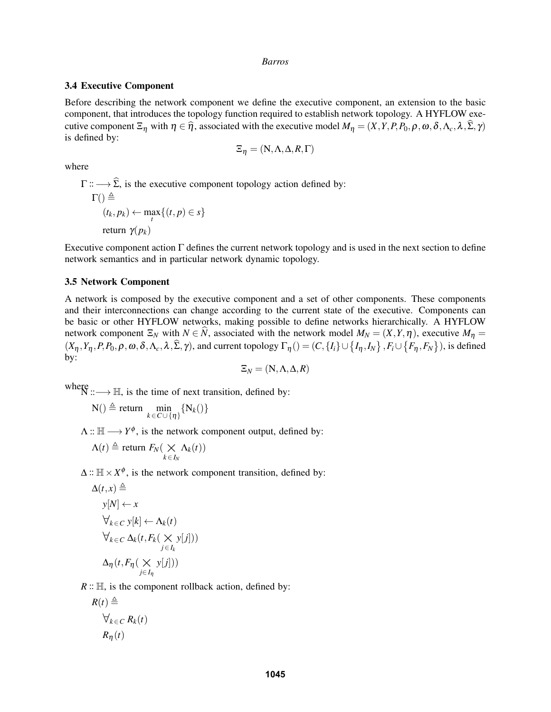## 3.4 Executive Component

Before describing the network component we define the executive component, an extension to the basic component, that introduces the topology function required to establish network topology. A HYFLOW executive component  $\Xi_n$  with  $\eta \in \hat{\eta}$ , associated with the executive model  $M_\eta = (X, Y, P, P_0, \rho, \omega, \delta, \Lambda_c, \lambda, \hat{\Sigma}, \gamma)$ is defined by:

$$
\Xi_{\eta} = (N, \Lambda, \Delta, R, \Gamma)
$$

where

 $\Gamma$  ::  $\longrightarrow \widehat{\Sigma}$ , is the executive component topology action defined by:  $\Gamma() \triangleq$  $(t_k, p_k) \leftarrow \max_t \{ (t, p) \in s \}$ return  $\gamma(p_k)$ 

Executive component action  $\Gamma$  defines the current network topology and is used in the next section to define network semantics and in particular network dynamic topology.

## 3.5 Network Component

A network is composed by the executive component and a set of other components. These components and their interconnections can change according to the current state of the executive. Components can be basic or other HYFLOW networks, making possible to define networks hierarchically. A HYFLOW network component  $\Xi_N$  with  $N \in \widehat{N}$ , associated with the network model  $M_N = (X, Y, \eta)$ , executive  $M_\eta =$  $(X_\eta, Y_\eta, P, P_0, \rho, \omega, \delta, \Lambda_c, \lambda, \hat{\Sigma}, \gamma)$ , and current topology  $\Gamma_\eta() = (C, \{I_i\} \cup \{I_\eta, I_N\}, F_i \cup \{F_\eta, F_N\})$ , is defined by:

$$
\Xi_N = (\mathrm{N}, \Lambda, \Delta, R)
$$

where  $N$  ::  $\longrightarrow$  H, is the time of next transition, defined by:

$$
N() \triangleq return \min_{k \in C \cup \{\eta\}} \{N_k()\}
$$

 $\Lambda$  ::  $\mathbb{H} \longrightarrow Y^{\phi}$ , is the network component output, defined by:

$$
\Lambda(t) \triangleq \text{return } F_N(\underset{k \in I_N}{\times} \Lambda_k(t))
$$

 $\Delta$  ::  $\mathbb{H} \times X^{\phi}$ , is the network component transition, defined by:

*y*[ *j*]))

$$
\Delta(t, x) \triangleq
$$
\n
$$
y[N] \leftarrow x
$$
\n
$$
\forall_{k \in C} y[k] \leftarrow \Lambda_k(t)
$$
\n
$$
\forall_{k \in C} \Delta_k(t, F_k(\chi_y[j])
$$
\n
$$
\Delta_\eta(t, F_\eta(\chi_y[j]))
$$

 $R: \mathbb{H}$ , is the component rollback action, defined by:

$$
R(t) \triangleq
$$
  
\n
$$
\forall_{k \in C} R_k(t)
$$
  
\n
$$
R_{\eta}(t)
$$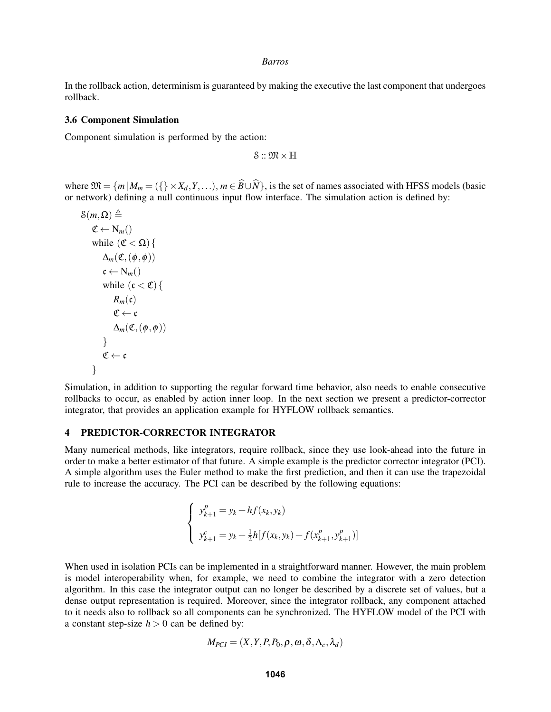In the rollback action, determinism is guaranteed by making the executive the last component that undergoes rollback.

### <span id="page-7-1"></span>3.6 Component Simulation

Component simulation is performed by the action:

 $S :: \mathfrak{M} \times \mathbb{H}$ 

where  $\mathfrak{M} = \{m | M_m = (\{\}\times X_d, Y, \ldots), m \in \widehat{B} \cup \widehat{N}\}\)$ , is the set of names associated with HFSS models (basic or network) defining a null continuous input flow interface. The simulation action is defined by:

$$
\mathcal{S}(m, \Omega) \triangleq
$$
\n
$$
\mathfrak{C} \leftarrow \mathbf{N}_m()
$$
\n
$$
\text{while } (\mathfrak{C} < \Omega) \{
$$
\n
$$
\Delta_m(\mathfrak{C}, (\phi, \phi))
$$
\n
$$
\mathfrak{c} \leftarrow \mathbf{N}_m()
$$
\n
$$
\text{while } (\mathfrak{c} < \mathfrak{C}) \{
$$
\n
$$
R_m(\mathfrak{c})
$$
\n
$$
\mathfrak{C} \leftarrow \mathfrak{c}
$$
\n
$$
\Delta_m(\mathfrak{C}, (\phi, \phi))
$$
\n
$$
\} \mathfrak{C} \leftarrow \mathfrak{c}
$$

Simulation, in addition to supporting the regular forward time behavior, also needs to enable consecutive rollbacks to occur, as enabled by action inner loop. In the next section we present a predictor-corrector integrator, that provides an application example for HYFLOW rollback semantics.

## <span id="page-7-0"></span>4 PREDICTOR-CORRECTOR INTEGRATOR

Many numerical methods, like integrators, require rollback, since they use look-ahead into the future in order to make a better estimator of that future. A simple example is the predictor corrector integrator (PCI). A simple algorithm uses the Euler method to make the first prediction, and then it can use the trapezoidal rule to increase the accuracy. The PCI can be described by the following equations:

$$
\begin{cases}\ny_{k+1}^p = y_k + h f(x_k, y_k) \\
y_{k+1}^c = y_k + \frac{1}{2} h[f(x_k, y_k) + f(x_{k+1}^p, y_{k+1}^p)]\n\end{cases}
$$

When used in isolation PCIs can be implemented in a straightforward manner. However, the main problem is model interoperability when, for example, we need to combine the integrator with a zero detection algorithm. In this case the integrator output can no longer be described by a discrete set of values, but a dense output representation is required. Moreover, since the integrator rollback, any component attached to it needs also to rollback so all components can be synchronized. The HYFLOW model of the PCI with a constant step-size  $h > 0$  can be defined by:

$$
M_{PCI} = (X, Y, P, P_0, \rho, \omega, \delta, \Lambda_c, \lambda_d)
$$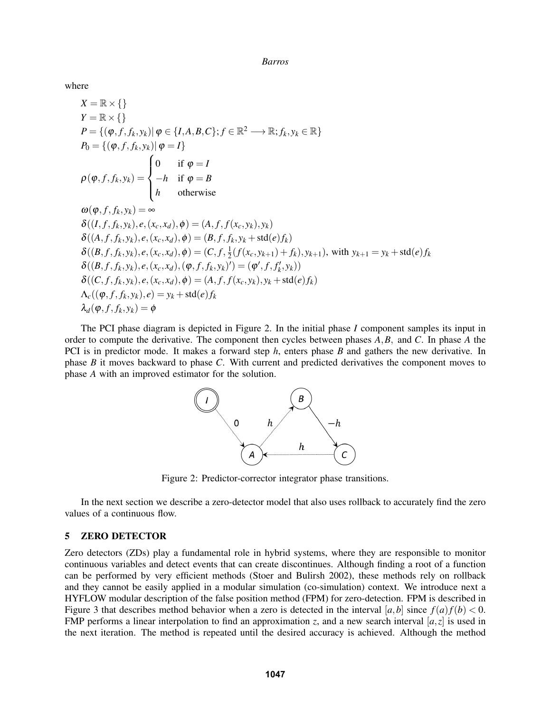where

$$
X = \mathbb{R} \times \{\}
$$
  
\n
$$
Y = \mathbb{R} \times \{\}
$$
  
\n
$$
P = \{(\varphi, f, f_k, y_k) | \varphi \in \{I, A, B, C\}; f \in \mathbb{R}^2 \longrightarrow \mathbb{R}; f_k, y_k \in \mathbb{R}\}
$$
  
\n
$$
P_0 = \{(\varphi, f, f_k, y_k) | \varphi = I\}
$$
  
\n
$$
\rho(\varphi, f, f_k, y_k) = \begin{cases} 0 & \text{if } \varphi = I \\ -h & \text{if } \varphi = B \\ h & \text{otherwise} \end{cases}
$$
  
\n
$$
\omega(\varphi, f, f_k, y_k) = \infty
$$
  
\n
$$
\delta((I, f, f_k, y_k), e, (x_c, x_d), \varphi) = (A, f, f(x_c, y_k), y_k)
$$
  
\n
$$
\delta((A, f, f_k, y_k), e, (x_c, x_d), \varphi) = (B, f, f_k, y_k + \text{std}(e) f_k)
$$
  
\n
$$
\delta((B, f, f_k, y_k), e, (x_c, x_d), \varphi) = (C, f, \frac{1}{2}(f(x_c, y_{k+1}) + f_k), y_{k+1}), \text{ with } y_{k+1} = y_k + \text{std}(e) f_k
$$
  
\n
$$
\delta((B, f, f_k, y_k), e, (x_c, x_d), (\varphi, f, f_k, y_k)' = (\varphi', f, f'_k, y_k))
$$
  
\n
$$
\delta((C, f, f_k, y_k), e, (x_c, x_d), \varphi) = (A, f, f(x_c, y_k), y_k + \text{std}(e) f_k)
$$
  
\n
$$
\Delta_c((\varphi, f, f_k, y_k), e) = y_k + \text{std}(e) f_k
$$

<span id="page-8-1"></span>The PCI phase diagram is depicted in Figure [2.](#page-8-1) In the initial phase *I* component samples its input in order to compute the derivative. The component then cycles between phases *A*,*B*, and *C*. In phase *A* the PCI is in predictor mode. It makes a forward step *h*, enters phase *B* and gathers the new derivative. In phase *B* it moves backward to phase *C*. With current and predicted derivatives the component moves to phase *A* with an improved estimator for the solution.



Figure 2: Predictor-corrector integrator phase transitions.

In the next section we describe a zero-detector model that also uses rollback to accurately find the zero values of a continuous flow.

# <span id="page-8-0"></span>5 ZERO DETECTOR

Zero detectors (ZDs) play a fundamental role in hybrid systems, where they are responsible to monitor continuous variables and detect events that can create discontinues. Although finding a root of a function can be performed by very efficient methods [\(Stoer and Bulirsh 2002\)](#page-11-19), these methods rely on rollback and they cannot be easily applied in a modular simulation (co-simulation) context. We introduce next a HYFLOW modular description of the false position method (FPM) for zero-detection. FPM is described in Figure [3](#page-9-0) that describes method behavior when a zero is detected in the interval [a, b] since  $f(a)f(b) < 0$ . FMP performs a linear interpolation to find an approximation *z*, and a new search interval  $[a, z]$  is used in the next iteration. The method is repeated until the desired accuracy is achieved. Although the method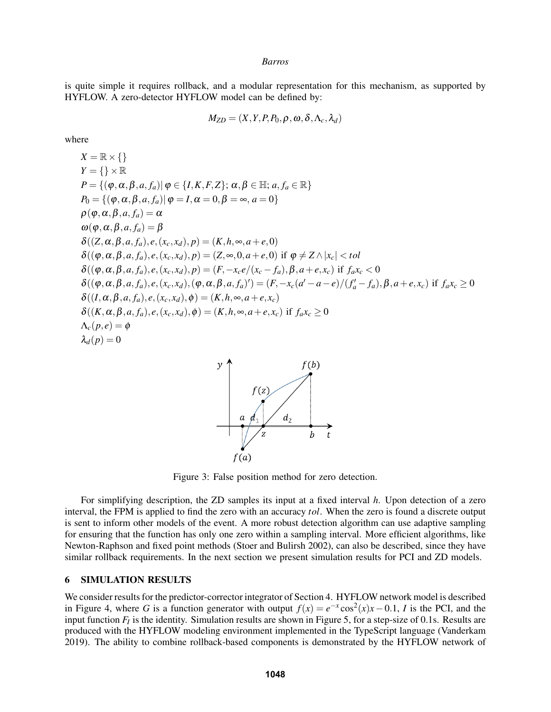is quite simple it requires rollback, and a modular representation for this mechanism, as supported by HYFLOW. A zero-detector HYFLOW model can be defined by:

$$
M_{ZD} = (X, Y, P, P_0, \rho, \omega, \delta, \Lambda_c, \lambda_d)
$$

where

$$
X = \mathbb{R} \times \{\}
$$
  
\n
$$
Y = \{\} \times \mathbb{R}
$$
  
\n
$$
P = \{(\varphi, \alpha, \beta, a, f_a) | \varphi \in \{I, K, F, Z\}; \alpha, \beta \in \mathbb{H}; a, f_a \in \mathbb{R}\}
$$
  
\n
$$
P_0 = \{(\varphi, \alpha, \beta, a, f_a) | \varphi = I, \alpha = 0, \beta = \infty, a = 0\}
$$
  
\n
$$
\rho(\varphi, \alpha, \beta, a, f_a) = \alpha
$$
  
\n
$$
\omega(\varphi, \alpha, \beta, a, f_a) = \beta
$$
  
\n
$$
\delta((Z, \alpha, \beta, a, f_a), e, (x_c, x_d), p) = (K, h, \infty, a + e, 0)
$$
  
\n
$$
\delta((\varphi, \alpha, \beta, a, f_a), e, (x_c, x_d), p) = (Z, \infty, 0, a + e, 0) \text{ if } \varphi \neq Z \land |x_c| < tol
$$
  
\n
$$
\delta((\varphi, \alpha, \beta, a, f_a), e, (x_c, x_d), p) = (F, -x_c e/(x_c - f_a), \beta, a + e, x_c) \text{ if } f_a x_c < 0
$$
  
\n
$$
\delta((\varphi, \alpha, \beta, a, f_a), e, (x_c, x_d), (\varphi, \alpha, \beta, a, f_a)^{\prime}) = (F, -x_c (a' - a - e)/(f'_a - f_a), \beta, a + e, x_c) \text{ if } f_a x_c \ge 0
$$
  
\n
$$
\delta((I, \alpha, \beta, a, f_a), e, (x_c, x_d), \varphi) = (K, h, \infty, a + e, x_c) \text{ if } f_a x_c \ge 0
$$
  
\n
$$
\delta((K, \alpha, \beta, a, f_a), e, (x_c, x_d), \varphi) = (K, h, \infty, a + e, x_c) \text{ if } f_a x_c \ge 0
$$
  
\n
$$
\lambda_c(p, e) = \varphi
$$

<span id="page-9-0"></span>

Figure 3: False position method for zero detection.

For simplifying description, the ZD samples its input at a fixed interval *h*. Upon detection of a zero interval, the FPM is applied to find the zero with an accuracy *tol*. When the zero is found a discrete output is sent to inform other models of the event. A more robust detection algorithm can use adaptive sampling for ensuring that the function has only one zero within a sampling interval. More efficient algorithms, like Newton-Raphson and fixed point methods [\(Stoer and Bulirsh 2002\)](#page-11-19), can also be described, since they have similar rollback requirements. In the next section we present simulation results for PCI and ZD models.

## 6 SIMULATION RESULTS

We consider results for the predictor-corrector integrator of Section [4.](#page-7-0) HYFLOW network model is described in Figure [4,](#page-10-0) where *G* is a function generator with output  $f(x) = e^{-x} \cos^2(x) x - 0.1$ , *I* is the PCI, and the input function  $F_I$  is the identity. Simulation results are shown in Figure [5,](#page-10-1) for a step-size of 0.1s. Results are produced with the HYFLOW modeling environment implemented in the TypeScript language [\(Vanderkam](#page-11-20) [2019\)](#page-11-20). The ability to combine rollback-based components is demonstrated by the HYFLOW network of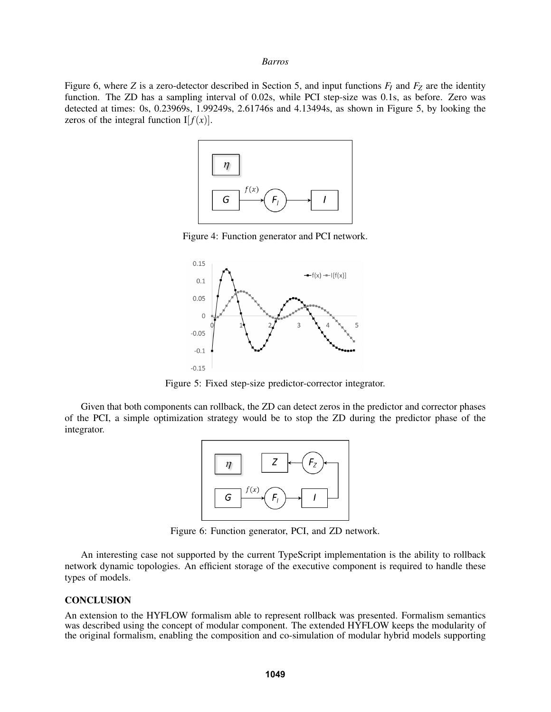<span id="page-10-0"></span>Figure [6,](#page-10-2) where *Z* is a zero-detector described in Section [5,](#page-8-0) and input functions *F<sup>I</sup>* and *F<sup>Z</sup>* are the identity function. The ZD has a sampling interval of 0.02s, while PCI step-size was 0.1s, as before. Zero was detected at times: 0s, 0.23969s, 1.99249s, 2.61746s and 4.13494s, as shown in Figure [5,](#page-10-1) by looking the zeros of the integral function  $I[f(x)]$ .



Figure 4: Function generator and PCI network.

<span id="page-10-1"></span>

Figure 5: Fixed step-size predictor-corrector integrator.

<span id="page-10-2"></span>Given that both components can rollback, the ZD can detect zeros in the predictor and corrector phases of the PCI, a simple optimization strategy would be to stop the ZD during the predictor phase of the integrator.



Figure 6: Function generator, PCI, and ZD network.

An interesting case not supported by the current TypeScript implementation is the ability to rollback network dynamic topologies. An efficient storage of the executive component is required to handle these types of models.

## **CONCLUSION**

An extension to the HYFLOW formalism able to represent rollback was presented. Formalism semantics was described using the concept of modular component. The extended HYFLOW keeps the modularity of the original formalism, enabling the composition and co-simulation of modular hybrid models supporting